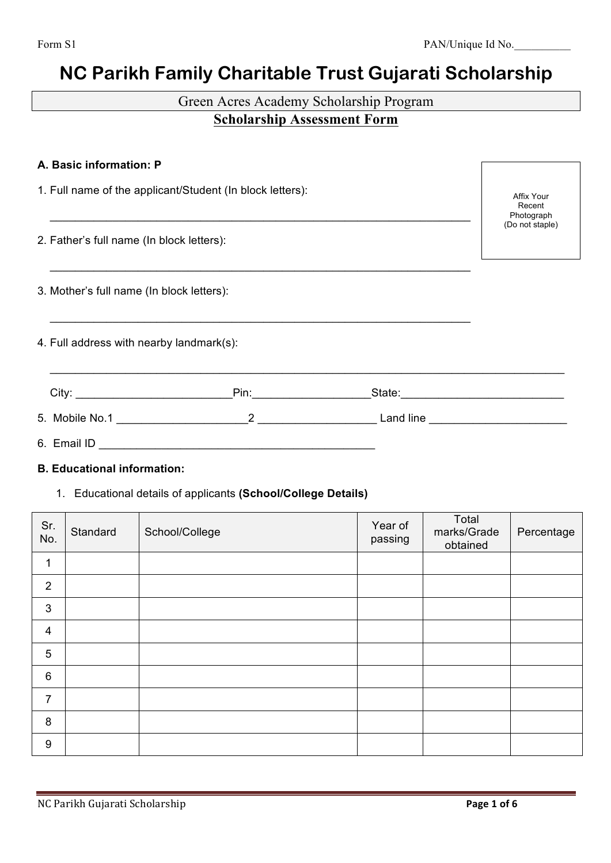# **NC Parikh Family Charitable Trust Gujarati Scholarship**

# Green Acres Academy Scholarship Program **Scholarship Assessment Form**

| A. Basic information: P                                   |                                    |  |
|-----------------------------------------------------------|------------------------------------|--|
| 1. Full name of the applicant/Student (In block letters): | Affix Your<br>Recent<br>Photograph |  |
| 2. Father's full name (In block letters):                 | (Do not staple)                    |  |
| 3. Mother's full name (In block letters):                 |                                    |  |
| 4. Full address with nearby landmark(s):                  |                                    |  |
|                                                           |                                    |  |
|                                                           |                                    |  |
|                                                           |                                    |  |

#### **B. Educational information:**

1. Educational details of applicants **(School/College Details)**

| Sr.<br>No.              | Standard | School/College | Year of<br>passing | Total<br>marks/Grade<br>obtained | Percentage |
|-------------------------|----------|----------------|--------------------|----------------------------------|------------|
| 1                       |          |                |                    |                                  |            |
| $\overline{2}$          |          |                |                    |                                  |            |
| $\mathbf{3}$            |          |                |                    |                                  |            |
| $\overline{\mathbf{4}}$ |          |                |                    |                                  |            |
| 5                       |          |                |                    |                                  |            |
| $6\,$                   |          |                |                    |                                  |            |
| $\overline{7}$          |          |                |                    |                                  |            |
| $\bf 8$                 |          |                |                    |                                  |            |
| $\boldsymbol{9}$        |          |                |                    |                                  |            |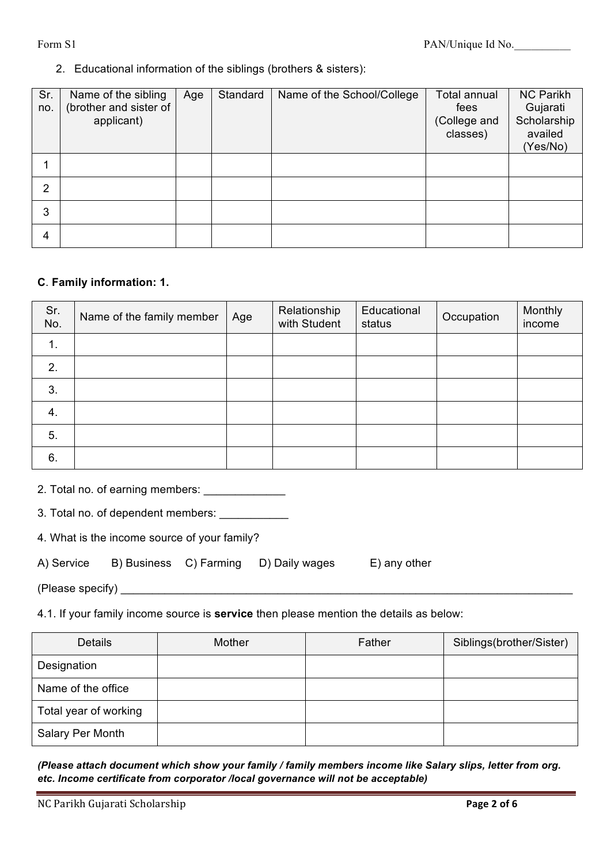### 2. Educational information of the siblings (brothers & sisters):

| Sr.<br>no.     | Name of the sibling<br>(brother and sister of<br>applicant) | Age | Standard | Name of the School/College | Total annual<br>fees<br>(College and<br>classes) | <b>NC Parikh</b><br>Gujarati<br>Scholarship<br>availed<br>(Yes/No) |
|----------------|-------------------------------------------------------------|-----|----------|----------------------------|--------------------------------------------------|--------------------------------------------------------------------|
|                |                                                             |     |          |                            |                                                  |                                                                    |
| $\overline{2}$ |                                                             |     |          |                            |                                                  |                                                                    |
| 3              |                                                             |     |          |                            |                                                  |                                                                    |
| 4              |                                                             |     |          |                            |                                                  |                                                                    |

#### **C**. **Family information: 1.**

| Sr.<br>No.     | Name of the family member | Age | Relationship<br>with Student | Educational<br>status | Occupation | Monthly<br>income |
|----------------|---------------------------|-----|------------------------------|-----------------------|------------|-------------------|
| $\mathbf{1}$ . |                           |     |                              |                       |            |                   |
| 2.             |                           |     |                              |                       |            |                   |
| 3.             |                           |     |                              |                       |            |                   |
| 4.             |                           |     |                              |                       |            |                   |
| 5.             |                           |     |                              |                       |            |                   |
| 6.             |                           |     |                              |                       |            |                   |

2. Total no. of earning members: \_\_\_\_\_\_\_\_\_\_\_\_\_\_

3. Total no. of dependent members: \_\_\_\_\_\_\_\_\_\_\_

4. What is the income source of your family?

| A) Service<br>B) Business | C) Farming | D) Daily wag |
|---------------------------|------------|--------------|
|---------------------------|------------|--------------|

 $\mathsf{res}$  E) any other

(Please specify) \_\_\_\_\_\_\_\_\_\_\_\_\_\_\_\_\_\_\_\_\_\_\_\_\_\_\_\_\_\_\_\_\_\_\_\_\_\_\_\_\_\_\_\_\_\_\_\_\_\_\_\_\_\_\_\_\_\_\_\_\_\_\_\_\_\_\_\_\_\_\_\_

4.1. If your family income source is **service** then please mention the details as below:

| <b>Details</b>        | Mother | Father | Siblings(brother/Sister) |
|-----------------------|--------|--------|--------------------------|
| Designation           |        |        |                          |
| Name of the office    |        |        |                          |
| Total year of working |        |        |                          |
| Salary Per Month      |        |        |                          |

*(Please attach document which show your family / family members income like Salary slips, letter from org. etc. Income certificate from corporator /local governance will not be acceptable)*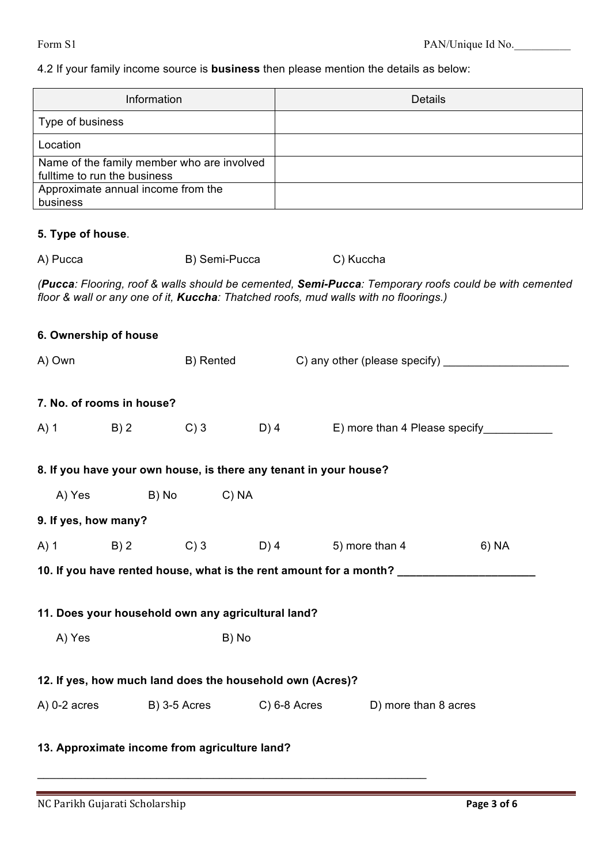# 4.2 If your family income source is **business** then please mention the details as below:

|                                                                                                                                                                                               | Information                                                       |      | <b>Details</b>                                                                    |       |  |  |  |
|-----------------------------------------------------------------------------------------------------------------------------------------------------------------------------------------------|-------------------------------------------------------------------|------|-----------------------------------------------------------------------------------|-------|--|--|--|
|                                                                                                                                                                                               |                                                                   |      |                                                                                   |       |  |  |  |
| Type of business                                                                                                                                                                              |                                                                   |      |                                                                                   |       |  |  |  |
| Location                                                                                                                                                                                      |                                                                   |      |                                                                                   |       |  |  |  |
| fulltime to run the business                                                                                                                                                                  | Name of the family member who are involved                        |      |                                                                                   |       |  |  |  |
| Approximate annual income from the                                                                                                                                                            |                                                                   |      |                                                                                   |       |  |  |  |
| business                                                                                                                                                                                      |                                                                   |      |                                                                                   |       |  |  |  |
| 5. Type of house.                                                                                                                                                                             |                                                                   |      |                                                                                   |       |  |  |  |
| A) Pucca                                                                                                                                                                                      | B) Semi-Pucca                                                     |      | C) Kuccha                                                                         |       |  |  |  |
| (Pucca: Flooring, roof & walls should be cemented, Semi-Pucca: Temporary roofs could be with cemented<br>floor & wall or any one of it, Kuccha: Thatched roofs, mud walls with no floorings.) |                                                                   |      |                                                                                   |       |  |  |  |
| 6. Ownership of house                                                                                                                                                                         |                                                                   |      |                                                                                   |       |  |  |  |
| A) Own                                                                                                                                                                                        | B) Rented                                                         |      | C) any other (please specify) __________                                          |       |  |  |  |
|                                                                                                                                                                                               |                                                                   |      |                                                                                   |       |  |  |  |
| 7. No. of rooms in house?                                                                                                                                                                     |                                                                   |      |                                                                                   |       |  |  |  |
| $A)$ 1<br>B) 2                                                                                                                                                                                | $C$ ) 3                                                           | D) 4 | E) more than 4 Please specify                                                     |       |  |  |  |
|                                                                                                                                                                                               |                                                                   |      |                                                                                   |       |  |  |  |
|                                                                                                                                                                                               | 8. If you have your own house, is there any tenant in your house? |      |                                                                                   |       |  |  |  |
| A) Yes                                                                                                                                                                                        | B) No<br>$C)$ NA                                                  |      |                                                                                   |       |  |  |  |
| 9. If yes, how many?                                                                                                                                                                          |                                                                   |      |                                                                                   |       |  |  |  |
|                                                                                                                                                                                               |                                                                   |      | A) 1 B) 2 C) 3 D) 4 5) more than 4                                                | 6) NA |  |  |  |
|                                                                                                                                                                                               |                                                                   |      | 10. If you have rented house, what is the rent amount for a month? ______________ |       |  |  |  |
|                                                                                                                                                                                               |                                                                   |      |                                                                                   |       |  |  |  |
|                                                                                                                                                                                               | 11. Does your household own any agricultural land?                |      |                                                                                   |       |  |  |  |
| A) Yes<br>B) No                                                                                                                                                                               |                                                                   |      |                                                                                   |       |  |  |  |
|                                                                                                                                                                                               |                                                                   |      |                                                                                   |       |  |  |  |
|                                                                                                                                                                                               | 12. If yes, how much land does the household own (Acres)?         |      |                                                                                   |       |  |  |  |
|                                                                                                                                                                                               | A) 0-2 acres B) 3-5 Acres C) 6-8 Acres                            |      | D) more than 8 acres                                                              |       |  |  |  |
|                                                                                                                                                                                               |                                                                   |      |                                                                                   |       |  |  |  |
|                                                                                                                                                                                               | 13. Approximate income from agriculture land?                     |      |                                                                                   |       |  |  |  |

\_\_\_\_\_\_\_\_\_\_\_\_\_\_\_\_\_\_\_\_\_\_\_\_\_\_\_\_\_\_\_\_\_\_\_\_\_\_\_\_\_\_\_\_\_\_\_\_\_\_\_\_\_\_\_\_\_\_\_\_\_\_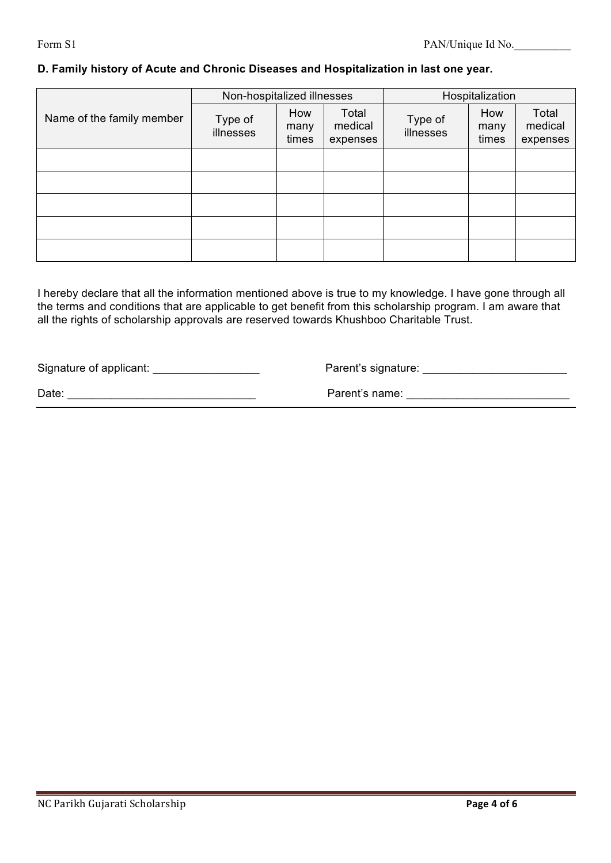#### **D. Family history of Acute and Chronic Diseases and Hospitalization in last one year.**

|                           | Non-hospitalized illnesses |                      |                              | Hospitalization      |                      |                              |
|---------------------------|----------------------------|----------------------|------------------------------|----------------------|----------------------|------------------------------|
| Name of the family member | Type of<br>illnesses       | How<br>many<br>times | Total<br>medical<br>expenses | Type of<br>illnesses | How<br>many<br>times | Total<br>medical<br>expenses |
|                           |                            |                      |                              |                      |                      |                              |
|                           |                            |                      |                              |                      |                      |                              |
|                           |                            |                      |                              |                      |                      |                              |
|                           |                            |                      |                              |                      |                      |                              |
|                           |                            |                      |                              |                      |                      |                              |

I hereby declare that all the information mentioned above is true to my knowledge. I have gone through all the terms and conditions that are applicable to get benefit from this scholarship program. I am aware that all the rights of scholarship approvals are reserved towards Khushboo Charitable Trust.

Signature of applicant: \_\_\_\_\_\_\_\_\_\_\_\_\_\_\_\_\_ Parent's signature: \_\_\_\_\_\_\_\_\_\_\_\_\_\_\_\_\_\_\_\_\_\_\_

Date: \_\_\_\_\_\_\_\_\_\_\_\_\_\_\_\_\_\_\_\_\_\_\_\_\_\_\_\_\_\_ Parent's name: \_\_\_\_\_\_\_\_\_\_\_\_\_\_\_\_\_\_\_\_\_\_\_\_\_\_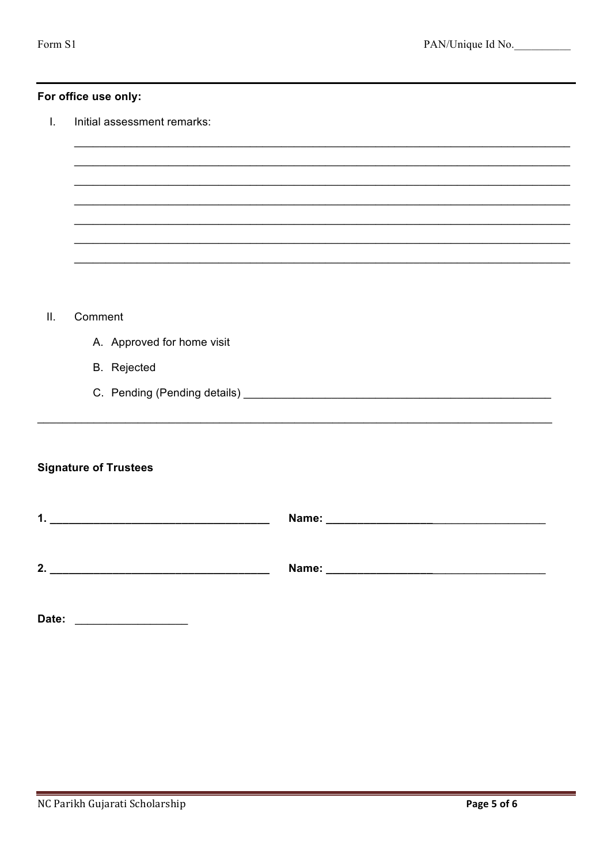#### For office use only:

 $\mathbf{L}$ Initial assessment remarks:

- Comment  $II.$ 
	- A. Approved for home visit
	- **B.** Rejected
	-

## **Signature of Trustees**

| 4<br>. . | Name: |
|----------|-------|
|          |       |
|          |       |
| 2.       | Name: |
|          |       |